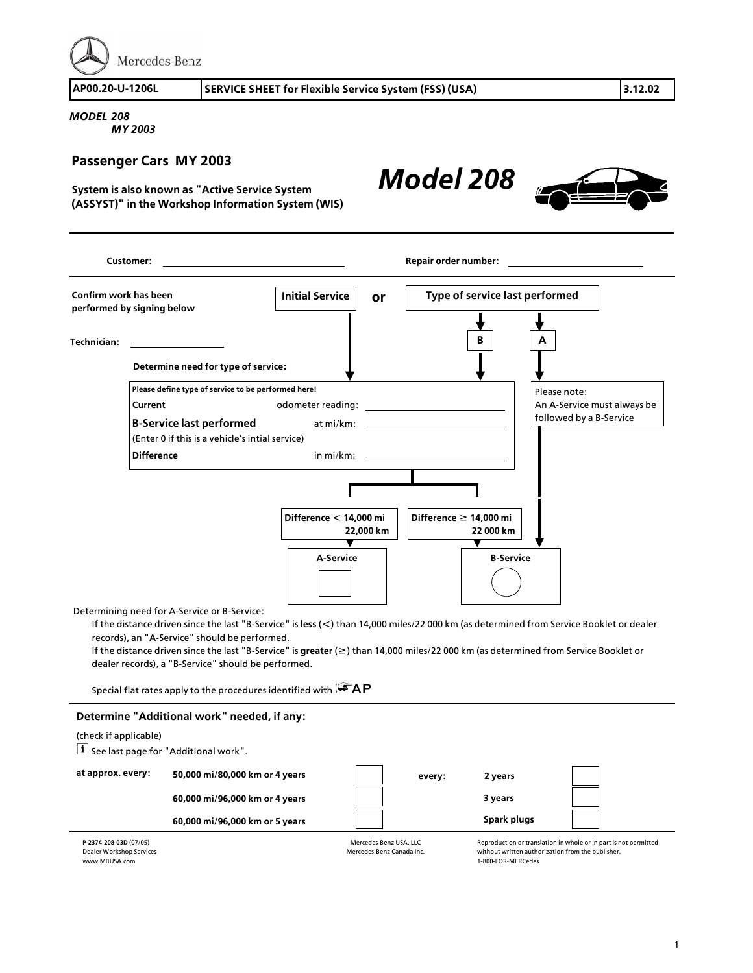Mercedes-Benz

**AP00.20>U>1206L SERVICE SHEET for Flexible Service System (FSS) (USA) 3.12.02**

*MODEL 208 MY 2003*

## **Passenger Cars MY 2003**

**System is also known as "Active Service System (ASSYST)" in the Workshop Information System (WIS)**

**Customer: Repair order number: Repair order number: Repair order number: Repair order number: Confirm work has been performed by signing below Please define type of service to be performed here! Current** odometer reading: **<sup>B</sup>>Service last performed** at mi/km: (Enter 0 if this is a vehicle's intial service) **Difference** in mi/km: **Initial Service or Type of service last performed Determine need for type of service: Technician:** Please note: An A-Service must always be followed by a B>Service **B A Difference f 14,000 mi 22 000 km Difference < 14,000 mi 22,000 km <sup>A</sup>>Service <sup>B</sup>>Service**

*Model 208*

Determining need for A>Service or B>Service:

If the distance driven since the last "B>Service" is **less** (**<**) than 14,000 miles/22 000 km (as determined from Service Booklet or dealer records), an "A>Service" should be performed.

If the distance driven since the last "B>Service" is **greater** (**f**) than 14,000 miles/22 000 km (as determined from Service Booklet or dealer records), a "B-Service" should be performed.

Special flat rates apply to the procedures identified with  $\mathbb{R}^2 A P$ 

## **Determine "Additional work" needed, if any:**

| (check if applicable)<br>i See last page for "Additional work". |                                |  |        |                                                                  |  |  |  |  |
|-----------------------------------------------------------------|--------------------------------|--|--------|------------------------------------------------------------------|--|--|--|--|
| at approx. every:                                               | 50,000 mi/80,000 km or 4 years |  | every: | 2 years                                                          |  |  |  |  |
|                                                                 | 60,000 mi/96,000 km or 4 years |  |        | 3 years                                                          |  |  |  |  |
|                                                                 | 60,000 mi/96,000 km or 5 years |  |        | Spark plugs                                                      |  |  |  |  |
| P-2374-208-03D (07/05)                                          | Mercedes-Benz USA, LLC         |  |        | Reproduction or translation in whole or in part is not permitted |  |  |  |  |

**<sup>P</sup>>2374>208>03D** (07/05) Dealer Workshop Services www.MBUSA.com

Mercedes>Benz USA, LLC Mercedes>Benz Canada Inc.

without written authorization from the publisher. <sup>1</sup>>800>FOR>MERCedes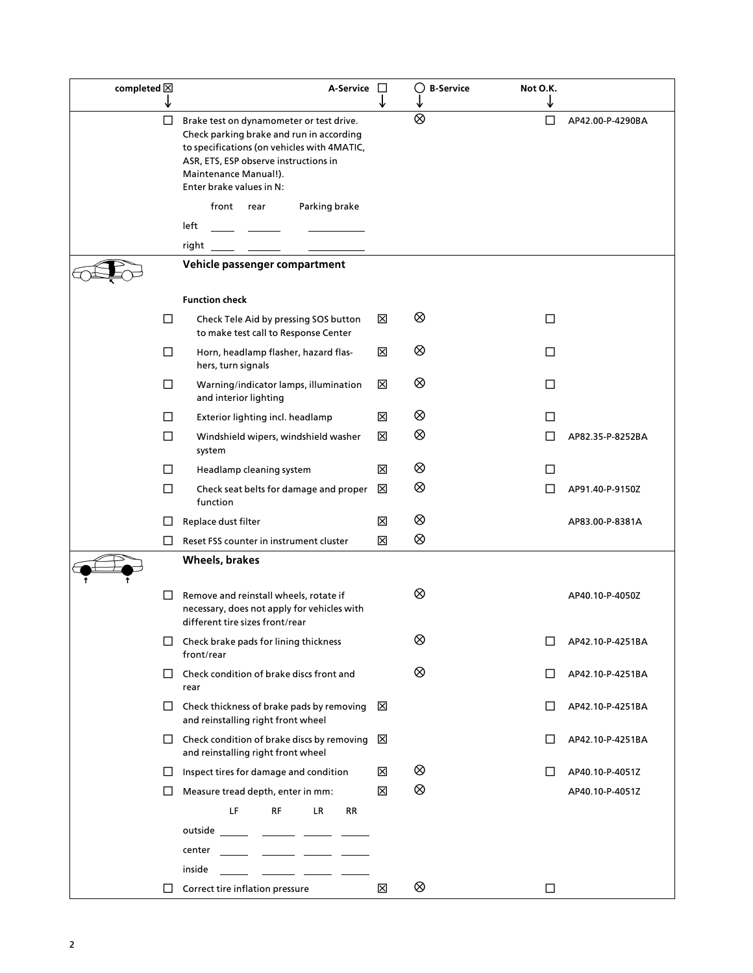| completed $\boxtimes$ | A-Service                                                                                                                                                                                                                         | $\Box$<br>↓ | $\circ$<br><b>B-Service</b> | Not O.K.<br>↓ |                  |
|-----------------------|-----------------------------------------------------------------------------------------------------------------------------------------------------------------------------------------------------------------------------------|-------------|-----------------------------|---------------|------------------|
| □                     | Brake test on dynamometer or test drive.<br>Check parking brake and run in according<br>to specifications (on vehicles with 4MATIC,<br>ASR, ETS, ESP observe instructions in<br>Maintenance Manual!).<br>Enter brake values in N: |             | $\otimes$                   | □             | AP42.00-P-4290BA |
|                       | front rear<br>Parking brake                                                                                                                                                                                                       |             |                             |               |                  |
|                       | left                                                                                                                                                                                                                              |             |                             |               |                  |
|                       | right                                                                                                                                                                                                                             |             |                             |               |                  |
|                       | Vehicle passenger compartment                                                                                                                                                                                                     |             |                             |               |                  |
|                       | <b>Function check</b>                                                                                                                                                                                                             |             |                             |               |                  |
| $\Box$                | Check Tele Aid by pressing SOS button<br>to make test call to Response Center                                                                                                                                                     | ⊠           | ⊗                           | □             |                  |
| □                     | Horn, headlamp flasher, hazard flas-<br>hers, turn signals                                                                                                                                                                        | ⊠           | ⊗                           | □             |                  |
| □                     | Warning/indicator lamps, illumination<br>and interior lighting                                                                                                                                                                    | ⊠           | ⊗                           | □             |                  |
| $\Box$                | Exterior lighting incl. headlamp                                                                                                                                                                                                  | ⊠           | ⊗                           | LI            |                  |
| $\Box$                | Windshield wipers, windshield washer<br>system                                                                                                                                                                                    | ⊠           | ⊗                           | ΙI            | AP82.35-P-8252BA |
| $\Box$                | Headlamp cleaning system                                                                                                                                                                                                          | ⊠           | ⊗                           | П             |                  |
| □                     | Check seat belts for damage and proper<br>function                                                                                                                                                                                | ⊠           | ⊗                           | $\mathsf{L}$  | AP91.40-P-9150Z  |
| $\Box$                | Replace dust filter                                                                                                                                                                                                               | 区           | ⊗                           |               | AP83.00-P-8381A  |
| $\perp$               | Reset FSS counter in instrument cluster                                                                                                                                                                                           | 区           | ⊗                           |               |                  |
|                       | <b>Wheels, brakes</b>                                                                                                                                                                                                             |             |                             |               |                  |
| $\Box$                | Remove and reinstall wheels, rotate if<br>necessary, does not apply for vehicles with<br>different tire sizes front/rear                                                                                                          |             | ⊗                           |               | AP40.10-P-4050Z  |
|                       | Check brake pads for lining thickness<br>front/rear                                                                                                                                                                               |             | ⊗                           |               | AP42.10-P-4251BA |
| $\perp$               | Check condition of brake discs front and<br>rear                                                                                                                                                                                  |             | ⊗                           | $\Box$        | AP42.10-P-4251BA |
| $\Box$                | Check thickness of brake pads by removing<br>and reinstalling right front wheel                                                                                                                                                   | ⊠           |                             | $\Box$        | AP42.10-P-4251BA |
|                       | $\Box$ Check condition of brake discs by removing<br>and reinstalling right front wheel                                                                                                                                           | ⊠           |                             | ш             | AP42.10-P-4251BA |
| $\Box$                | Inspect tires for damage and condition                                                                                                                                                                                            | 図           | ⊗                           | Ħ             | AP40.10-P-4051Z  |
| $\Box$                | Measure tread depth, enter in mm:                                                                                                                                                                                                 | 区           | ⊗                           |               | AP40.10-P-4051Z  |
|                       | LF<br><b>LR</b><br><b>RF</b><br>RR                                                                                                                                                                                                |             |                             |               |                  |
|                       | outside                                                                                                                                                                                                                           |             |                             |               |                  |
|                       | center                                                                                                                                                                                                                            |             |                             |               |                  |
|                       | inside                                                                                                                                                                                                                            |             |                             |               |                  |
| LI                    | Correct tire inflation pressure                                                                                                                                                                                                   | 区           | ⊗                           | □             |                  |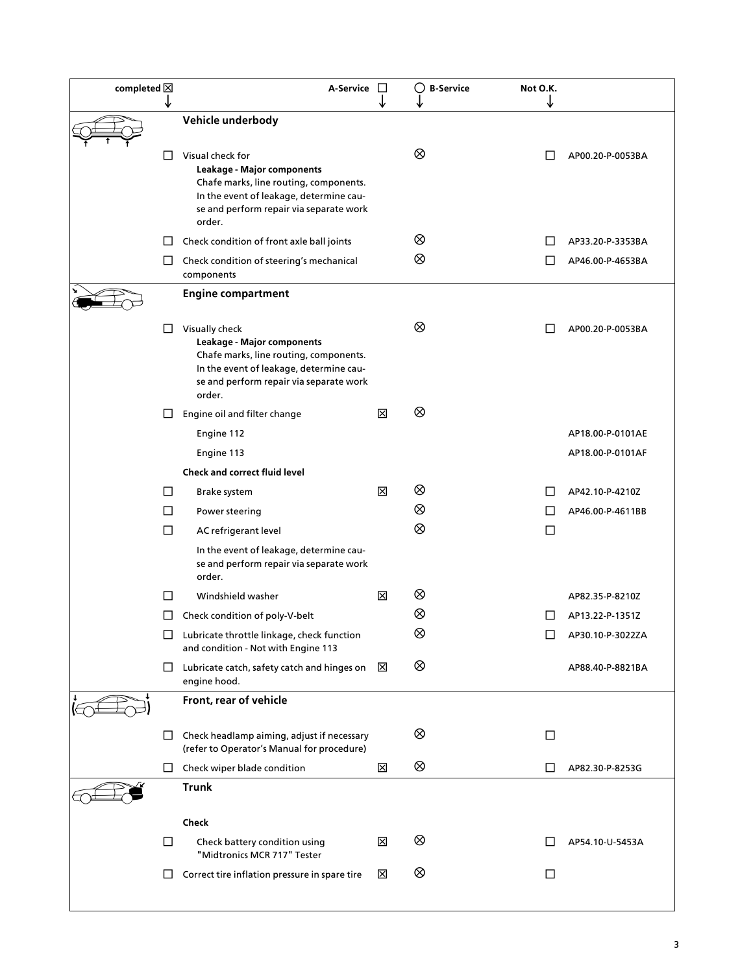| completed $\boxtimes$ |              | A-Service                                                                                                                                                                                | $\mathbb{R}^n$ | <b>B-Service</b><br>$\circ$ | Not O.K. |                  |
|-----------------------|--------------|------------------------------------------------------------------------------------------------------------------------------------------------------------------------------------------|----------------|-----------------------------|----------|------------------|
|                       |              | Vehicle underbody                                                                                                                                                                        |                |                             |          |                  |
|                       | ш            | Visual check for<br>Leakage - Major components<br>Chafe marks, line routing, components.<br>In the event of leakage, determine cau-<br>se and perform repair via separate work<br>order. |                | ⊗                           |          | AP00.20-P-0053BA |
|                       | $\mathsf{L}$ | Check condition of front axle ball joints                                                                                                                                                |                | ⊗                           |          | AP33.20-P-3353BA |
|                       | ⊔            | Check condition of steering's mechanical<br>components                                                                                                                                   |                | ⊗                           |          | AP46.00-P-4653BA |
|                       |              | <b>Engine compartment</b>                                                                                                                                                                |                |                             |          |                  |
|                       | ⊔            | Visually check<br>Leakage - Major components<br>Chafe marks, line routing, components.<br>In the event of leakage, determine cau-<br>se and perform repair via separate work<br>order.   |                | ⊗                           |          | AP00.20-P-0053BA |
|                       | ப            | Engine oil and filter change                                                                                                                                                             | ⊠              | ⊗                           |          |                  |
|                       |              | Engine 112                                                                                                                                                                               |                |                             |          | AP18.00-P-0101AE |
|                       |              | Engine 113                                                                                                                                                                               |                |                             |          | AP18.00-P-0101AF |
|                       |              | <b>Check and correct fluid level</b>                                                                                                                                                     |                |                             |          |                  |
|                       | $\Box$       | Brake system                                                                                                                                                                             | ⊠              | ⊗                           |          | AP42.10-P-4210Z  |
|                       | □            | Power steering                                                                                                                                                                           |                | ⊗                           |          | AP46.00-P-4611BB |
|                       | $\Box$       | AC refrigerant level                                                                                                                                                                     |                | ⊗                           | ப        |                  |
|                       |              | In the event of leakage, determine cau-<br>se and perform repair via separate work<br>order.                                                                                             |                |                             |          |                  |
|                       | П            | Windshield washer                                                                                                                                                                        | ⊠              | ⊗                           |          | AP82.35-P-8210Z  |
|                       | ப            | Check condition of poly-V-belt                                                                                                                                                           |                | ⊗                           |          | AP13.22-P-1351Z  |
|                       | ப            | Lubricate throttle linkage, check function<br>and condition - Not with Engine 113                                                                                                        |                | ⊗                           |          | AP30.10-P-3022ZA |
|                       | ⊔            | Lubricate catch, safety catch and hinges on<br>engine hood.                                                                                                                              | ⊠              | ⊗                           |          | AP88.40-P-8821BA |
|                       |              | Front, rear of vehicle                                                                                                                                                                   |                |                             |          |                  |
|                       | U            | Check headlamp aiming, adjust if necessary<br>(refer to Operator's Manual for procedure)                                                                                                 |                | ⊗                           | ப        |                  |
|                       | ⊔            | Check wiper blade condition                                                                                                                                                              | ⊠              | ⊗                           | $\Box$   | AP82.30-P-8253G  |
|                       |              | <b>Trunk</b>                                                                                                                                                                             |                |                             |          |                  |
|                       |              | Check                                                                                                                                                                                    |                |                             |          |                  |
|                       | □            | Check battery condition using<br>"Midtronics MCR 717" Tester                                                                                                                             | ⊠              | ⊗                           |          | AP54.10-U-5453A  |
|                       | LI           | Correct tire inflation pressure in spare tire                                                                                                                                            | ⊠              | ⊗                           | $\Box$   |                  |